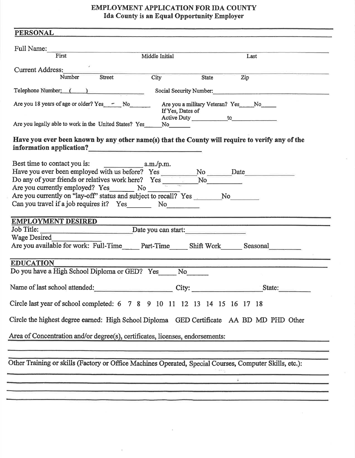## EMPLOYMENT APPLICATION FOR IDA COUNTY Ida County is an Equal Opportunity Employer

| Full Name:<br><u> 1980 - An Aonaichte ann an Cathracha ann an t-</u><br>First                                   | Middle Initial                                                           |                                                                                                                                                                                                                                                                                                                                                                                                                                                                            |
|-----------------------------------------------------------------------------------------------------------------|--------------------------------------------------------------------------|----------------------------------------------------------------------------------------------------------------------------------------------------------------------------------------------------------------------------------------------------------------------------------------------------------------------------------------------------------------------------------------------------------------------------------------------------------------------------|
|                                                                                                                 |                                                                          | Last                                                                                                                                                                                                                                                                                                                                                                                                                                                                       |
| Current Address:                                                                                                |                                                                          |                                                                                                                                                                                                                                                                                                                                                                                                                                                                            |
| Number<br>Street                                                                                                | City                                                                     | Zip<br>State                                                                                                                                                                                                                                                                                                                                                                                                                                                               |
| Telephone Number: ( )                                                                                           |                                                                          | Social Security Number:                                                                                                                                                                                                                                                                                                                                                                                                                                                    |
| Are you 18 years of age or older? Yes - No                                                                      |                                                                          | Are you a military Veteran? Yes_____No______                                                                                                                                                                                                                                                                                                                                                                                                                               |
|                                                                                                                 | If Yes, Dates of                                                         |                                                                                                                                                                                                                                                                                                                                                                                                                                                                            |
| Are you legally able to work in the United States? Yes ______ No_________________                               |                                                                          |                                                                                                                                                                                                                                                                                                                                                                                                                                                                            |
|                                                                                                                 |                                                                          |                                                                                                                                                                                                                                                                                                                                                                                                                                                                            |
| Have you ever been known by any other name(s) that the County will require to verify any of the                 |                                                                          |                                                                                                                                                                                                                                                                                                                                                                                                                                                                            |
| information application?<br><u> </u>                                                                            |                                                                          |                                                                                                                                                                                                                                                                                                                                                                                                                                                                            |
|                                                                                                                 |                                                                          |                                                                                                                                                                                                                                                                                                                                                                                                                                                                            |
| Have you ever been employed with us before? Yes __________No ______Date__________                               |                                                                          |                                                                                                                                                                                                                                                                                                                                                                                                                                                                            |
| Do any of your friends or relatives work here? Yes $N_0$                                                        |                                                                          |                                                                                                                                                                                                                                                                                                                                                                                                                                                                            |
| Are you currently employed? Yes No                                                                              |                                                                          |                                                                                                                                                                                                                                                                                                                                                                                                                                                                            |
| Are you currently on "lay-off" status and subject to recall? Yes No                                             |                                                                          |                                                                                                                                                                                                                                                                                                                                                                                                                                                                            |
|                                                                                                                 |                                                                          |                                                                                                                                                                                                                                                                                                                                                                                                                                                                            |
| Can you travel if a job requires it? Yes No                                                                     |                                                                          |                                                                                                                                                                                                                                                                                                                                                                                                                                                                            |
| <b>EMPLOYMENT DESIRED</b>                                                                                       |                                                                          |                                                                                                                                                                                                                                                                                                                                                                                                                                                                            |
| Job Title: <u>Date</u> you can start:                                                                           |                                                                          |                                                                                                                                                                                                                                                                                                                                                                                                                                                                            |
| Wage Desired                                                                                                    |                                                                          |                                                                                                                                                                                                                                                                                                                                                                                                                                                                            |
| Are you available for work: Full-Time______ Part-Time______ Shift Work_______ Seasonal__________                |                                                                          |                                                                                                                                                                                                                                                                                                                                                                                                                                                                            |
|                                                                                                                 |                                                                          |                                                                                                                                                                                                                                                                                                                                                                                                                                                                            |
| <b>EDUCATION</b>                                                                                                |                                                                          |                                                                                                                                                                                                                                                                                                                                                                                                                                                                            |
| Do you have a High School Diploma or GED? Yes                                                                   | No                                                                       |                                                                                                                                                                                                                                                                                                                                                                                                                                                                            |
| Name of last school attended:                                                                                   | City:                                                                    | State:                                                                                                                                                                                                                                                                                                                                                                                                                                                                     |
|                                                                                                                 |                                                                          |                                                                                                                                                                                                                                                                                                                                                                                                                                                                            |
|                                                                                                                 | Circle last year of school completed: 6 7 8 9 10 11 12 13 14 15 16 17 18 |                                                                                                                                                                                                                                                                                                                                                                                                                                                                            |
|                                                                                                                 |                                                                          |                                                                                                                                                                                                                                                                                                                                                                                                                                                                            |
|                                                                                                                 |                                                                          |                                                                                                                                                                                                                                                                                                                                                                                                                                                                            |
| Circle the highest degree earned: High School Diploma GED Certificate AA BD MD PHD Other                        |                                                                          |                                                                                                                                                                                                                                                                                                                                                                                                                                                                            |
|                                                                                                                 |                                                                          |                                                                                                                                                                                                                                                                                                                                                                                                                                                                            |
| Area of Concentration and/or degree(s), certificates, licenses, endorsements:                                   |                                                                          |                                                                                                                                                                                                                                                                                                                                                                                                                                                                            |
|                                                                                                                 |                                                                          |                                                                                                                                                                                                                                                                                                                                                                                                                                                                            |
|                                                                                                                 |                                                                          |                                                                                                                                                                                                                                                                                                                                                                                                                                                                            |
| Other Training or skills (Factory or Office Machines Operated, Special Courses, Computer Skills, etc.):         |                                                                          |                                                                                                                                                                                                                                                                                                                                                                                                                                                                            |
| the contract of the contract of the contract of the contract of the contract of the contract of the contract of |                                                                          | $\frac{1}{2} \left( \frac{1}{2} \right) \left( \frac{1}{2} \right) \left( \frac{1}{2} \right) \left( \frac{1}{2} \right) \left( \frac{1}{2} \right) \left( \frac{1}{2} \right) \left( \frac{1}{2} \right) \left( \frac{1}{2} \right) \left( \frac{1}{2} \right) \left( \frac{1}{2} \right) \left( \frac{1}{2} \right) \left( \frac{1}{2} \right) \left( \frac{1}{2} \right) \left( \frac{1}{2} \right) \left( \frac{1}{2} \right) \left( \frac{1}{2} \right) \left( \frac$ |